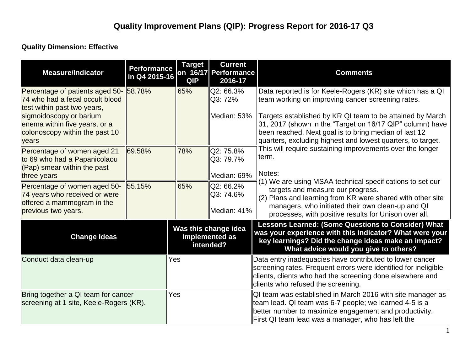## **Quality Dimension: Effective**

| <b>Measure/Indicator</b>                                                                                   | <b>Performance</b><br>in Q4 2015-16 | <b>Target</b><br><b>QIP</b>                         | <b>Current</b><br>on 16/17 Performance<br>2016-17 | <b>Comments</b>                                                                                                                                                                                                                                |  |
|------------------------------------------------------------------------------------------------------------|-------------------------------------|-----------------------------------------------------|---------------------------------------------------|------------------------------------------------------------------------------------------------------------------------------------------------------------------------------------------------------------------------------------------------|--|
| Percentage of patients aged 50-158.78%<br>74 who had a fecal occult blood<br>test within past two years,   |                                     | 65%                                                 | Q2: 66.3%<br>Q3: 72%                              | Data reported is for Keele-Rogers (KR) site which has a QI<br>team working on improving cancer screening rates.                                                                                                                                |  |
| sigmoidoscopy or barium<br>enema within five years, or a<br>colonoscopy within the past 10<br>years        |                                     |                                                     | Median: 53%                                       | Targets established by KR QI team to be attained by March<br>31, 2017 (shown in the "Target on 16/17 QIP" column) have<br>been reached. Next goal is to bring median of last 12<br>quarters, excluding highest and lowest quarters, to target. |  |
| Percentage of women aged 21<br>to 69 who had a Papanicolaou<br>$(Pap)$ smear within the past               | 69.58%                              | 78%                                                 | Q2: 75.8%<br>Q3: 79.7%<br>Median: 69%             | This will require sustaining improvements over the longer<br>term.<br>Notes:                                                                                                                                                                   |  |
| three years<br>Percentage of women aged 50-<br>74 years who received or were<br>offered a mammogram in the | 55.15%                              | 65%                                                 | Q2: 66.2%<br>Q3: 74.6%                            | (1) We are using MSAA technical specifications to set our<br>targets and measure our progress.<br>$(2)$ Plans and learning from KR were shared with other site<br>managers, who initiated their own clean-up and QI                            |  |
| previous two years.                                                                                        |                                     |                                                     | Median: 41%                                       | processes, with positive results for Unison over all.                                                                                                                                                                                          |  |
| <b>Change Ideas</b>                                                                                        |                                     | Was this change idea<br>implemented as<br>intended? |                                                   | <b>Lessons Learned: (Some Questions to Consider) What</b><br>was your experience with this indicator? What were your<br>key learnings? Did the change ideas make an impact?<br>What advice would you give to others?                           |  |
| Conduct data clean-up                                                                                      |                                     | Yes                                                 |                                                   | Data entry inadequacies have contributed to lower cancer<br>screening rates. Frequent errors were identified for ineligible<br>clients, clients who had the screening done elsewhere and<br>clients who refused the screening.                 |  |
| Bring together a QI team for cancer<br>screening at 1 site, Keele-Rogers (KR).                             |                                     | Yes                                                 |                                                   | QI team was established in March 2016 with site manager as<br>team lead. QI team was 6-7 people; we learned 4-5 is a<br>better number to maximize engagement and productivity.<br>First QI team lead was a manager, who has left the           |  |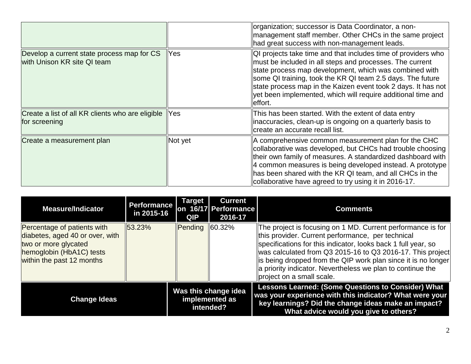|                                                                           |            | organization; successor is Data Coordinator, a non-<br>management staff member. Other CHCs in the same project<br>had great success with non-management leads.                                                                                                                                                                                                                                |
|---------------------------------------------------------------------------|------------|-----------------------------------------------------------------------------------------------------------------------------------------------------------------------------------------------------------------------------------------------------------------------------------------------------------------------------------------------------------------------------------------------|
| Develop a current state process map for CS<br>with Unison KR site QI team | Yes        | QI projects take time and that includes time of providers who<br>must be included in all steps and processes. The current<br>state process map development, which was combined with<br>some QI training, took the KR QI team 2.5 days. The future<br>state process map in the Kaizen event took 2 days. It has not<br>yet been implemented, which will require additional time and<br>effort. |
| Create a list of all KR clients who are eligible<br>for screening         | <b>Yes</b> | This has been started. With the extent of data entry<br>inaccuracies, clean-up is ongoing on a quarterly basis to<br>create an accurate recall list.                                                                                                                                                                                                                                          |
| Create a measurement plan                                                 | Not yet    | A comprehensive common measurement plan for the CHC<br>collaborative was developed, but CHCs had trouble choosing<br>their own family of measures. A standardized dashboard with<br>4 common measures is being developed instead. A prototype<br>has been shared with the KR QI team, and all CHCs in the<br>collaborative have agreed to try using it in 2016-17.                            |

| <b>Measure/Indicator</b>                                                                                                                        | <b>Performance</b><br>in 2015-16 | <b>Target</b><br><b>QIP</b> | <b>Current</b><br>on 16/17 Performance<br>2016-17   | <b>Comments</b>                                                                                                                                                                                                                                                                                                                                                                                              |
|-------------------------------------------------------------------------------------------------------------------------------------------------|----------------------------------|-----------------------------|-----------------------------------------------------|--------------------------------------------------------------------------------------------------------------------------------------------------------------------------------------------------------------------------------------------------------------------------------------------------------------------------------------------------------------------------------------------------------------|
| Percentage of patients with<br>diabetes, aged 40 or over, with<br>two or more glycated<br>hemoglobin (HbA1C) tests<br>within the past 12 months | 53.23%                           | <b>Pending</b>              | $\ 60.32\%$                                         | The project is focusing on 1 MD. Current performance is for<br>this provider. Current performance, per technical<br>specifications for this indicator, looks back 1 full year, so<br>was calculated from Q3 2015-16 to Q3 2016-17. This project<br>lis being dropped from the QIP work plan since it is no longer<br>a priority indicator. Nevertheless we plan to continue the<br>project on a small scale. |
| <b>Change Ideas</b>                                                                                                                             |                                  |                             | Was this change idea<br>implemented as<br>intended? | <b>Lessons Learned: (Some Questions to Consider) What</b><br>was your experience with this indicator? What were your<br>key learnings? Did the change ideas make an impact?<br>What advice would you give to others?                                                                                                                                                                                         |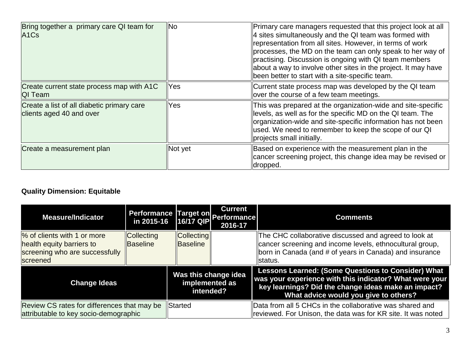| Bring together a primary care QI team for<br>A <sub>1</sub> C <sub>s</sub> | <b>No</b> | Primary care managers requested that this project look at all<br>4 sites simultaneously and the QI team was formed with<br>representation from all sites. However, in terms of work<br>processes, the MD on the team can only speak to her way of<br>practising. Discussion is ongoing with QI team members<br>about a way to involve other sites in the project. It may have<br>been better to start with a site-specific team. |
|----------------------------------------------------------------------------|-----------|----------------------------------------------------------------------------------------------------------------------------------------------------------------------------------------------------------------------------------------------------------------------------------------------------------------------------------------------------------------------------------------------------------------------------------|
| Create current state process map with A1C<br>QI Team                       | Yes       | Current state process map was developed by the QI team<br>over the course of a few team meetings.                                                                                                                                                                                                                                                                                                                                |
| Create a list of all diabetic primary care<br>clients aged 40 and over     | Yes       | This was prepared at the organization-wide and site-specific<br>levels, as well as for the specific MD on the QI team. The<br>organization-wide and site-specific information has not been<br>used. We need to remember to keep the scope of our QI<br>projects small initially.                                                                                                                                                 |
| Create a measurement plan                                                  | Not yet   | Based on experience with the measurement plan in the<br>cancer screening project, this change idea may be revised or<br>dropped.                                                                                                                                                                                                                                                                                                 |

## **Quality Dimension: Equitable**

| <b>Measure/Indicator</b>                                                                               |                               |                                                     | <b>Current</b><br>Performance Target on Performance<br>2016-17 | <b>Comments</b>                                                                                                                                                                                                      |
|--------------------------------------------------------------------------------------------------------|-------------------------------|-----------------------------------------------------|----------------------------------------------------------------|----------------------------------------------------------------------------------------------------------------------------------------------------------------------------------------------------------------------|
| % of clients with 1 or more<br>health equity barriers to<br>screening who are successfully<br>screened | <b>Collecting</b><br>Baseline | <b>Collecting</b><br>Baseline                       |                                                                | The CHC collaborative discussed and agreed to look at<br>cancer screening and income levels, ethnocultural group,<br>born in Canada (and # of years in Canada) and insurance<br>lstatus.                             |
| <b>Change Ideas</b>                                                                                    |                               | Was this change idea<br>implemented as<br>intended? |                                                                | <b>Lessons Learned: (Some Questions to Consider) What</b><br>was your experience with this indicator? What were your<br>key learnings? Did the change ideas make an impact?<br>What advice would you give to others? |
| Review CS rates for differences that may be<br>attributable to key socio-demographic                   |                               | <b>Started</b>                                      |                                                                | Data from all 5 CHCs in the collaborative was shared and<br>reviewed. For Unison, the data was for KR site. It was noted                                                                                             |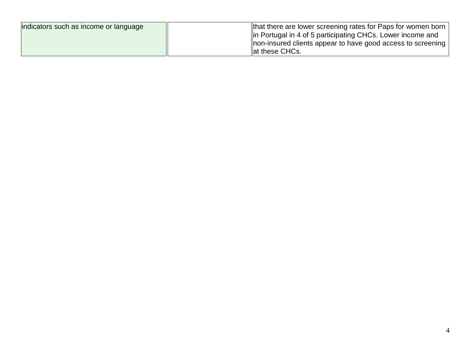| indicators such as income or language | that there are lower screening rates for Paps for women born |
|---------------------------------------|--------------------------------------------------------------|
|                                       | lin Portugal in 4 of 5 participating CHCs. Lower income and  |
|                                       | non-insured clients appear to have good access to screening  |
|                                       | at these CHCs.                                               |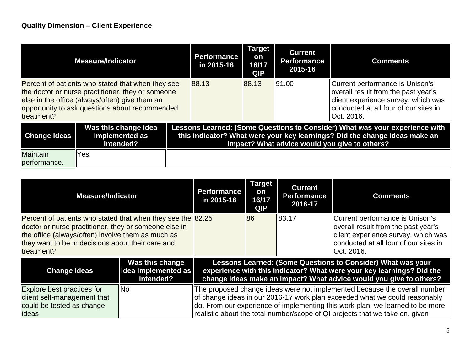| <b>Measure/Indicator</b>                                                                                                                                                                                                 |                                                     | <b>Performance</b><br>in 2015-16 | <b>Target</b><br>on<br>16/17<br>QIP | <b>Current</b><br><b>Performance</b><br>2015-16 | <b>Comments</b>                                                                                                                                                        |                                                                                                                                                                                                            |
|--------------------------------------------------------------------------------------------------------------------------------------------------------------------------------------------------------------------------|-----------------------------------------------------|----------------------------------|-------------------------------------|-------------------------------------------------|------------------------------------------------------------------------------------------------------------------------------------------------------------------------|------------------------------------------------------------------------------------------------------------------------------------------------------------------------------------------------------------|
| Percent of patients who stated that when they see<br>the doctor or nurse practitioner, they or someone<br>else in the office (always/often) give them an<br>opportunity to ask questions about recommended<br>treatment? |                                                     | 88.13                            | 88.13                               | II91.00                                         | Current performance is Unison's<br>overall result from the past year's<br>client experience survey, which was<br>conducted at all four of our sites in<br>llOct. 2016. |                                                                                                                                                                                                            |
| <b>Change Ideas</b>                                                                                                                                                                                                      | Was this change idea<br>implemented as<br>intended? |                                  |                                     |                                                 |                                                                                                                                                                        | Lessons Learned: (Some Questions to Consider) What was your experience with<br>this indicator? What were your key learnings? Did the change ideas make an<br>impact? What advice would you give to others? |
| <b>Maintain</b><br>performance.                                                                                                                                                                                          | Yes.                                                |                                  |                                     |                                                 |                                                                                                                                                                        |                                                                                                                                                                                                            |

| <b>Measure/Indicator</b>                          |                                                                                                                      | <b>Performance</b><br>in 2015-16                    | <b>Target</b><br>on<br>16/17<br><b>QIP</b>                                                                                                                                                                 | <b>Current</b><br><b>Performance</b><br>2016-17                               | <b>Comments</b>                       |                                                                           |  |
|---------------------------------------------------|----------------------------------------------------------------------------------------------------------------------|-----------------------------------------------------|------------------------------------------------------------------------------------------------------------------------------------------------------------------------------------------------------------|-------------------------------------------------------------------------------|---------------------------------------|---------------------------------------------------------------------------|--|
|                                                   | Percent of patients who stated that when they see the 82.25<br>doctor or nurse practitioner, they or someone else in |                                                     |                                                                                                                                                                                                            | 86                                                                            | 183.17                                | Current performance is Unison's<br>overall result from the past year's    |  |
|                                                   | the office (always/often) involve them as much as                                                                    |                                                     |                                                                                                                                                                                                            |                                                                               |                                       | client experience survey, which was                                       |  |
| they want to be in decisions about their care and |                                                                                                                      |                                                     |                                                                                                                                                                                                            |                                                                               | conducted at all four of our sites in |                                                                           |  |
|                                                   | treatment?                                                                                                           |                                                     |                                                                                                                                                                                                            |                                                                               |                                       | Oct. 2016.                                                                |  |
|                                                   | <b>Change Ideas</b>                                                                                                  | Was this change<br>idea implemented as<br>intended? | Lessons Learned: (Some Questions to Consider) What was your<br>experience with this indicator? What were your key learnings? Did the<br>change ideas make an impact? What advice would you give to others? |                                                                               |                                       |                                                                           |  |
|                                                   | Explore best practices for                                                                                           | <b>INo</b>                                          |                                                                                                                                                                                                            |                                                                               |                                       | The proposed change ideas were not implemented because the overall number |  |
|                                                   | client self-management that                                                                                          |                                                     | of change ideas in our 2016-17 work plan exceeded what we could reasonably                                                                                                                                 |                                                                               |                                       |                                                                           |  |
|                                                   | could be tested as change                                                                                            |                                                     |                                                                                                                                                                                                            | do. From our experience of implementing this work plan, we learned to be more |                                       |                                                                           |  |
|                                                   | ideas                                                                                                                |                                                     | realistic about the total number/scope of QI projects that we take on, given                                                                                                                               |                                                                               |                                       |                                                                           |  |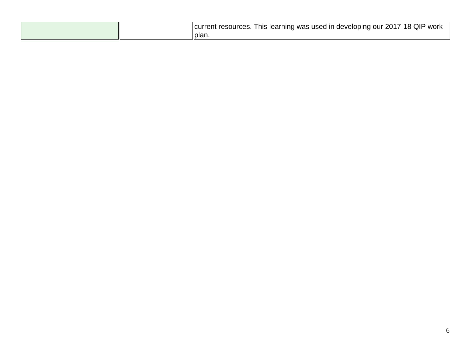|  | QIP<br>his<br>ources<br>learning<br>used<br>work<br>ın<br>was<br>י -<br>lici<br>develc<br>our<br>oniac<br>.esr<br>$\mathbf{r}$<br>∼<br>. . |
|--|--------------------------------------------------------------------------------------------------------------------------------------------|
|  | ∥plan.                                                                                                                                     |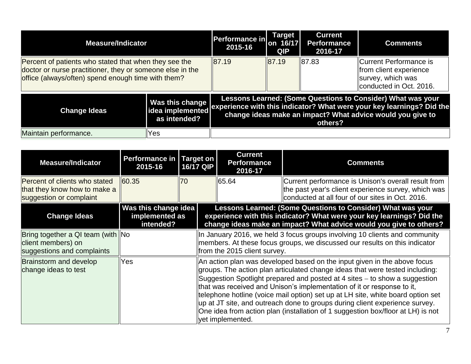| <b>Measure/Indicator</b>                                                                                                                                                 | <b>Performance in</b><br>2015-16                    | Target<br>on 16/17<br>QIP | <b>Current</b><br><b>Performance</b><br>2016-17 | <b>Comments</b>                                                                                              |                                                                                                                                                                                                    |
|--------------------------------------------------------------------------------------------------------------------------------------------------------------------------|-----------------------------------------------------|---------------------------|-------------------------------------------------|--------------------------------------------------------------------------------------------------------------|----------------------------------------------------------------------------------------------------------------------------------------------------------------------------------------------------|
| Percent of patients who stated that when they see the<br>doctor or nurse practitioner, they or someone else in the<br>office (always/often) spend enough time with them? | 87.19                                               | 87.19                     | $\parallel$ 87.83                               | Current Performance is<br>from client experience<br>$\parallel$ survey, which was<br>conducted in Oct. 2016. |                                                                                                                                                                                                    |
| <b>Change Ideas</b>                                                                                                                                                      | Was this change<br>idea implemented<br>as intended? |                           |                                                 | others?                                                                                                      | Lessons Learned: (Some Questions to Consider) What was your<br>experience with this indicator? What were your key learnings? Did the<br>change ideas make an impact? What advice would you give to |
| Maintain performance.                                                                                                                                                    | Yes                                                 |                           |                                                 |                                                                                                              |                                                                                                                                                                                                    |

| <b>Measure/Indicator</b>                                                                 | <b>Performance in Target on</b><br>2015-16          | <b>16/17 QIP</b> |                                                                                                                                                                                                                                                                                                                                                                                                                                                                                                                                                                                           | <b>Current</b><br><b>Performance</b><br>2016-17                                                                                                                                          | <b>Comments</b>                                                                                                                                                                                            |  |  |
|------------------------------------------------------------------------------------------|-----------------------------------------------------|------------------|-------------------------------------------------------------------------------------------------------------------------------------------------------------------------------------------------------------------------------------------------------------------------------------------------------------------------------------------------------------------------------------------------------------------------------------------------------------------------------------------------------------------------------------------------------------------------------------------|------------------------------------------------------------------------------------------------------------------------------------------------------------------------------------------|------------------------------------------------------------------------------------------------------------------------------------------------------------------------------------------------------------|--|--|
| Percent of clients who stated<br>that they know how to make a<br>suggestion or complaint | 60.35                                               | 70               |                                                                                                                                                                                                                                                                                                                                                                                                                                                                                                                                                                                           | 65.64                                                                                                                                                                                    | Current performance is Unison's overall result from<br>the past year's client experience survey, which was<br>conducted at all four of our sites in Oct. 2016.                                             |  |  |
| <b>Change Ideas</b>                                                                      | Was this change idea<br>implemented as<br>intended? |                  |                                                                                                                                                                                                                                                                                                                                                                                                                                                                                                                                                                                           |                                                                                                                                                                                          | Lessons Learned: (Some Questions to Consider) What was your<br>experience with this indicator? What were your key learnings? Did the<br>change ideas make an impact? What advice would you give to others? |  |  |
| Bring together a QI team (with   No<br>client members) on<br>suggestions and complaints  |                                                     |                  |                                                                                                                                                                                                                                                                                                                                                                                                                                                                                                                                                                                           | In January 2016, we held 3 focus groups involving 10 clients and community<br>members. At these focus groups, we discussed our results on this indicator<br>from the 2015 client survey. |                                                                                                                                                                                                            |  |  |
| <b>Brainstorm and develop</b><br>change ideas to test                                    | Yes                                                 |                  | An action plan was developed based on the input given in the above focus<br>groups. The action plan articulated change ideas that were tested including:<br>Suggestion Spotlight prepared and posted at 4 sites – to show a suggestion<br>that was received and Unison's implementation of it or response to it,<br>telephone hotline (voice mail option) set up at LH site, white board option set<br>up at JT site, and outreach done to groups during client experience survey.<br>One idea from action plan (installation of 1 suggestion box/floor at LH) is not<br>vet implemented. |                                                                                                                                                                                          |                                                                                                                                                                                                            |  |  |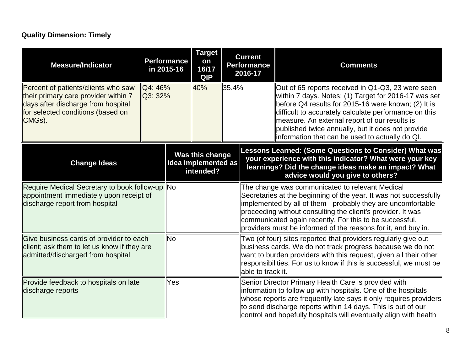## **Quality Dimension: Timely**

| <b>Measure/Indicator</b>                                                                                                                                         |                                 | <b>Target</b><br><b>Performance</b><br>on<br>16/17<br>in 2015-16<br><b>QIP</b> |              | <b>Current</b><br><b>Performance</b><br>2016-17                                                                                                                                                                                                                                              |  | <b>Comments</b>                                                                                                                                                                                                                                                                                                                                                                    |
|------------------------------------------------------------------------------------------------------------------------------------------------------------------|---------------------------------|--------------------------------------------------------------------------------|--------------|----------------------------------------------------------------------------------------------------------------------------------------------------------------------------------------------------------------------------------------------------------------------------------------------|--|------------------------------------------------------------------------------------------------------------------------------------------------------------------------------------------------------------------------------------------------------------------------------------------------------------------------------------------------------------------------------------|
| Percent of patients/clients who saw<br>their primary care provider within 7<br>days after discharge from hospital<br>for selected conditions (based on<br>CMGs). | $\overline{Q4}$ : 46%<br>Q3:32% |                                                                                | 40%<br>35.4% |                                                                                                                                                                                                                                                                                              |  | Out of 65 reports received in Q1-Q3, 23 were seen<br>within 7 days. Notes: (1) Target for 2016-17 was set<br>before Q4 results for 2015-16 were known; (2) It is<br>difficult to accurately calculate performance on this<br>measure. An external report of our results is<br>published twice annually, but it does not provide<br>information that can be used to actually do QI. |
| <b>Change Ideas</b>                                                                                                                                              |                                 | Was this change<br>idea implemented as<br>intended?                            |              |                                                                                                                                                                                                                                                                                              |  | Lessons Learned: (Some Questions to Consider) What was<br>your experience with this indicator? What were your key<br>learnings? Did the change ideas make an impact? What<br>advice would you give to others?                                                                                                                                                                      |
| Require Medical Secretary to book follow-up No<br>appointment immediately upon receipt of<br>discharge report from hospital                                      |                                 |                                                                                |              |                                                                                                                                                                                                                                                                                              |  | The change was communicated to relevant Medical<br>Secretaries at the beginning of the year. It was not successfully<br>implemented by all of them - probably they are uncomfortable<br>proceeding without consulting the client's provider. It was<br>communicated again recently. For this to be successful,<br>providers must be informed of the reasons for it, and buy in.    |
| Give business cards of provider to each<br>client; ask them to let us know if they are<br>admitted/discharged from hospital                                      |                                 | <b>INo</b>                                                                     |              | Two (of four) sites reported that providers regularly give out<br>business cards. We do not track progress because we do not<br>want to burden providers with this request, given all their other<br>responsibilities. For us to know if this is successful, we must be<br>able to track it. |  |                                                                                                                                                                                                                                                                                                                                                                                    |
| Provide feedback to hospitals on late<br>discharge reports                                                                                                       |                                 | Yes                                                                            |              |                                                                                                                                                                                                                                                                                              |  | Senior Director Primary Health Care is provided with<br>information to follow up with hospitals. One of the hospitals<br>whose reports are frequently late says it only requires providers<br>to send discharge reports within 14 days. This is out of our<br>control and hopefully hospitals will eventually align with health                                                    |